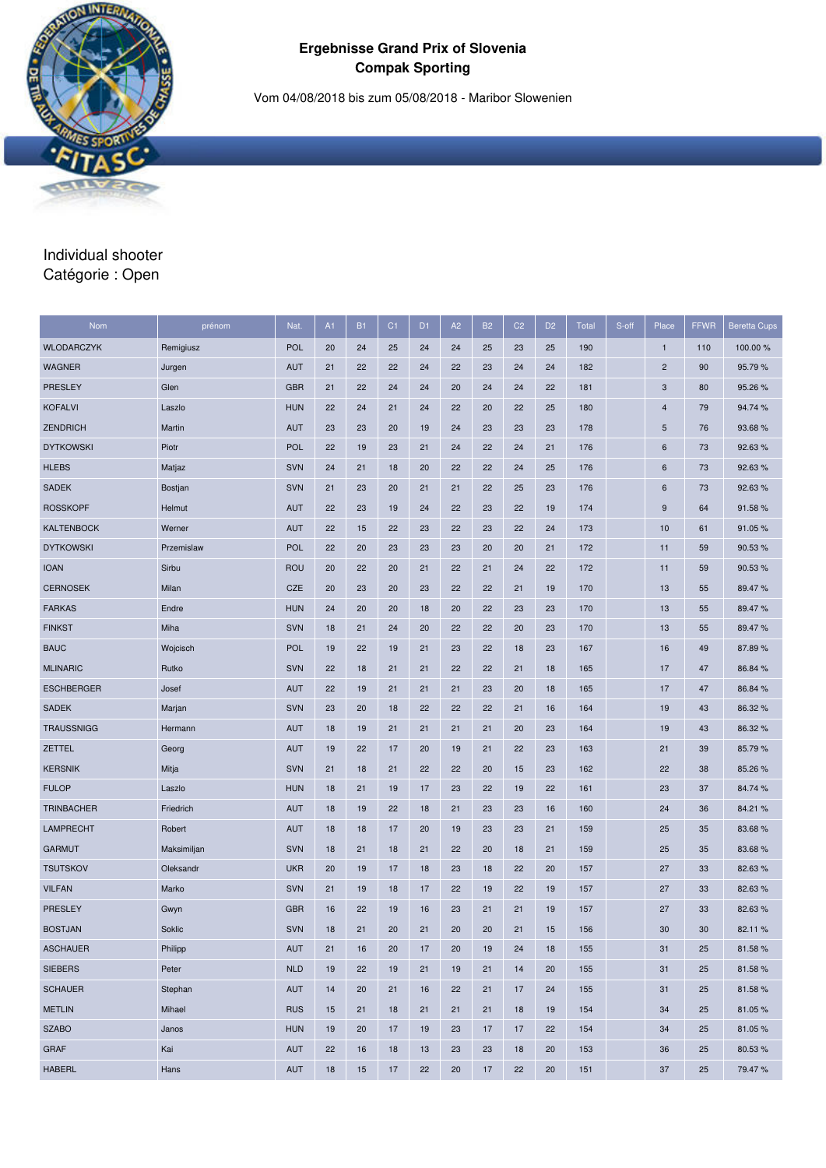### **Ergebnisse Grand Prix of Slovenia Compak Sporting**

Vom 04/08/2018 bis zum 05/08/2018 - Maribor Slowenien

# Individual shooter Catégorie : Open

| Nom               | prénom      | Nat.       | A1 | <b>B1</b> | C <sub>1</sub> | D <sub>1</sub> | A2 | <b>B2</b> | C <sub>2</sub> | D <sub>2</sub> | <b>Total</b> | S-off | Place                     | <b>FFWR</b> | <b>Beretta Cups</b> |
|-------------------|-------------|------------|----|-----------|----------------|----------------|----|-----------|----------------|----------------|--------------|-------|---------------------------|-------------|---------------------|
| <b>WLODARCZYK</b> | Remigiusz   | <b>POL</b> | 20 | 24        | 25             | 24             | 24 | 25        | 23             | 25             | 190          |       | $\mathbf{1}$              | 110         | 100.00 %            |
| <b>WAGNER</b>     | Jurgen      | <b>AUT</b> | 21 | 22        | 22             | 24             | 22 | 23        | 24             | 24             | 182          |       | $\overline{c}$            | 90          | 95.79%              |
| PRESLEY           | Glen        | <b>GBR</b> | 21 | 22        | 24             | 24             | 20 | 24        | 24             | 22             | 181          |       | $\ensuremath{\mathsf{3}}$ | 80          | 95.26 %             |
| <b>KOFALVI</b>    | Laszlo      | <b>HUN</b> | 22 | 24        | 21             | 24             | 22 | 20        | 22             | 25             | 180          |       | $\overline{4}$            | 79          | 94.74 %             |
| <b>ZENDRICH</b>   | Martin      | <b>AUT</b> | 23 | 23        | 20             | 19             | 24 | 23        | 23             | 23             | 178          |       | $\sqrt{5}$                | 76          | 93.68%              |
| <b>DYTKOWSKI</b>  | Piotr       | <b>POL</b> | 22 | 19        | 23             | 21             | 24 | 22        | 24             | 21             | 176          |       | 6                         | 73          | 92.63 %             |
| <b>HLEBS</b>      | Matjaz      | <b>SVN</b> | 24 | 21        | 18             | 20             | 22 | 22        | 24             | 25             | 176          |       | 6                         | 73          | 92.63%              |
| <b>SADEK</b>      | Bostjan     | <b>SVN</b> | 21 | 23        | 20             | 21             | 21 | 22        | 25             | 23             | 176          |       | 6                         | 73          | 92.63%              |
| <b>ROSSKOPF</b>   | Helmut      | <b>AUT</b> | 22 | 23        | 19             | 24             | 22 | 23        | 22             | 19             | 174          |       | $\boldsymbol{9}$          | 64          | 91.58%              |
| <b>KALTENBOCK</b> | Werner      | <b>AUT</b> | 22 | 15        | 22             | 23             | 22 | 23        | 22             | 24             | 173          |       | 10                        | 61          | 91.05 %             |
| <b>DYTKOWSKI</b>  | Przemislaw  | <b>POL</b> | 22 | 20        | 23             | 23             | 23 | 20        | 20             | 21             | 172          |       | 11                        | 59          | 90.53 %             |
| <b>IOAN</b>       | Sirbu       | <b>ROU</b> | 20 | 22        | 20             | 21             | 22 | 21        | 24             | 22             | 172          |       | 11                        | 59          | 90.53 %             |
| <b>CERNOSEK</b>   | Milan       | <b>CZE</b> | 20 | 23        | 20             | 23             | 22 | 22        | 21             | 19             | 170          |       | 13                        | 55          | 89.47%              |
| <b>FARKAS</b>     | Endre       | <b>HUN</b> | 24 | 20        | 20             | 18             | 20 | 22        | 23             | 23             | 170          |       | 13                        | 55          | 89.47%              |
| <b>FINKST</b>     | Miha        | <b>SVN</b> | 18 | 21        | 24             | 20             | 22 | 22        | 20             | 23             | 170          |       | 13                        | 55          | 89.47%              |
| <b>BAUC</b>       | Wojcisch    | <b>POL</b> | 19 | 22        | 19             | 21             | 23 | 22        | 18             | 23             | 167          |       | 16                        | 49          | 87.89%              |
| <b>MLINARIC</b>   | Rutko       | <b>SVN</b> | 22 | 18        | 21             | 21             | 22 | 22        | 21             | 18             | 165          |       | 17                        | 47          | 86.84 %             |
| <b>ESCHBERGER</b> | Josef       | <b>AUT</b> | 22 | 19        | 21             | 21             | 21 | 23        | 20             | 18             | 165          |       | 17                        | 47          | 86.84 %             |
| <b>SADEK</b>      | Marjan      | <b>SVN</b> | 23 | 20        | 18             | 22             | 22 | 22        | 21             | 16             | 164          |       | 19                        | 43          | 86.32%              |
| <b>TRAUSSNIGG</b> | Hermann     | <b>AUT</b> | 18 | 19        | 21             | 21             | 21 | 21        | 20             | 23             | 164          |       | 19                        | 43          | 86.32%              |
| <b>ZETTEL</b>     | Georg       | <b>AUT</b> | 19 | 22        | 17             | 20             | 19 | 21        | 22             | 23             | 163          |       | 21                        | 39          | 85.79 %             |
| <b>KERSNIK</b>    | Mitja       | <b>SVN</b> | 21 | 18        | 21             | 22             | 22 | 20        | 15             | 23             | 162          |       | 22                        | 38          | 85.26%              |
| <b>FULOP</b>      | Laszlo      | <b>HUN</b> | 18 | 21        | 19             | 17             | 23 | 22        | 19             | 22             | 161          |       | 23                        | 37          | 84.74 %             |
| <b>TRINBACHER</b> | Friedrich   | <b>AUT</b> | 18 | 19        | 22             | 18             | 21 | 23        | 23             | 16             | 160          |       | 24                        | 36          | 84.21%              |
| <b>LAMPRECHT</b>  | Robert      | <b>AUT</b> | 18 | 18        | 17             | 20             | 19 | 23        | 23             | 21             | 159          |       | 25                        | 35          | 83.68%              |
| <b>GARMUT</b>     | Maksimiljan | <b>SVN</b> | 18 | 21        | 18             | 21             | 22 | 20        | 18             | 21             | 159          |       | 25                        | 35          | 83.68%              |
| <b>TSUTSKOV</b>   | Oleksandr   | <b>UKR</b> | 20 | 19        | 17             | 18             | 23 | 18        | 22             | 20             | 157          |       | 27                        | 33          | 82.63%              |
| <b>VILFAN</b>     | Marko       | <b>SVN</b> | 21 | 19        | 18             | 17             | 22 | 19        | 22             | 19             | 157          |       | 27                        | 33          | 82.63%              |
| <b>PRESLEY</b>    | Gwyn        | <b>GBR</b> | 16 | 22        | 19             | 16             | 23 | 21        | 21             | 19             | 157          |       | 27                        | 33          | 82.63%              |
| <b>BOSTJAN</b>    | Soklic      | <b>SVN</b> | 18 | 21        | 20             | 21             | 20 | 20        | 21             | 15             | 156          |       | 30                        | 30          | 82.11 %             |
| <b>ASCHAUER</b>   | Philipp     | AUT        | 21 | 16        | 20             | 17             | 20 | 19        | 24             | 18             | 155          |       | 31                        | 25          | 81.58%              |
| <b>SIEBERS</b>    | Peter       | <b>NLD</b> | 19 | 22        | 19             | 21             | 19 | 21        | 14             | 20             | 155          |       | 31                        | 25          | 81.58%              |
| <b>SCHAUER</b>    | Stephan     | <b>AUT</b> | 14 | 20        | 21             | 16             | 22 | 21        | 17             | 24             | 155          |       | 31                        | 25          | 81.58%              |
| <b>METLIN</b>     | Mihael      | <b>RUS</b> | 15 | 21        | 18             | 21             | 21 | 21        | 18             | 19             | 154          |       | 34                        | 25          | 81.05%              |
| <b>SZABO</b>      | Janos       | <b>HUN</b> | 19 | 20        | 17             | 19             | 23 | 17        | 17             | 22             | 154          |       | 34                        | 25          | 81.05%              |
| <b>GRAF</b>       | Kai         | <b>AUT</b> | 22 | 16        | 18             | 13             | 23 | 23        | 18             | 20             | 153          |       | 36                        | 25          | 80.53%              |
| <b>HABERL</b>     | Hans        | <b>AUT</b> | 18 | 15        | 17             | 22             | 20 | 17        | 22             | 20             | 151          |       | 37                        | 25          | 79.47%              |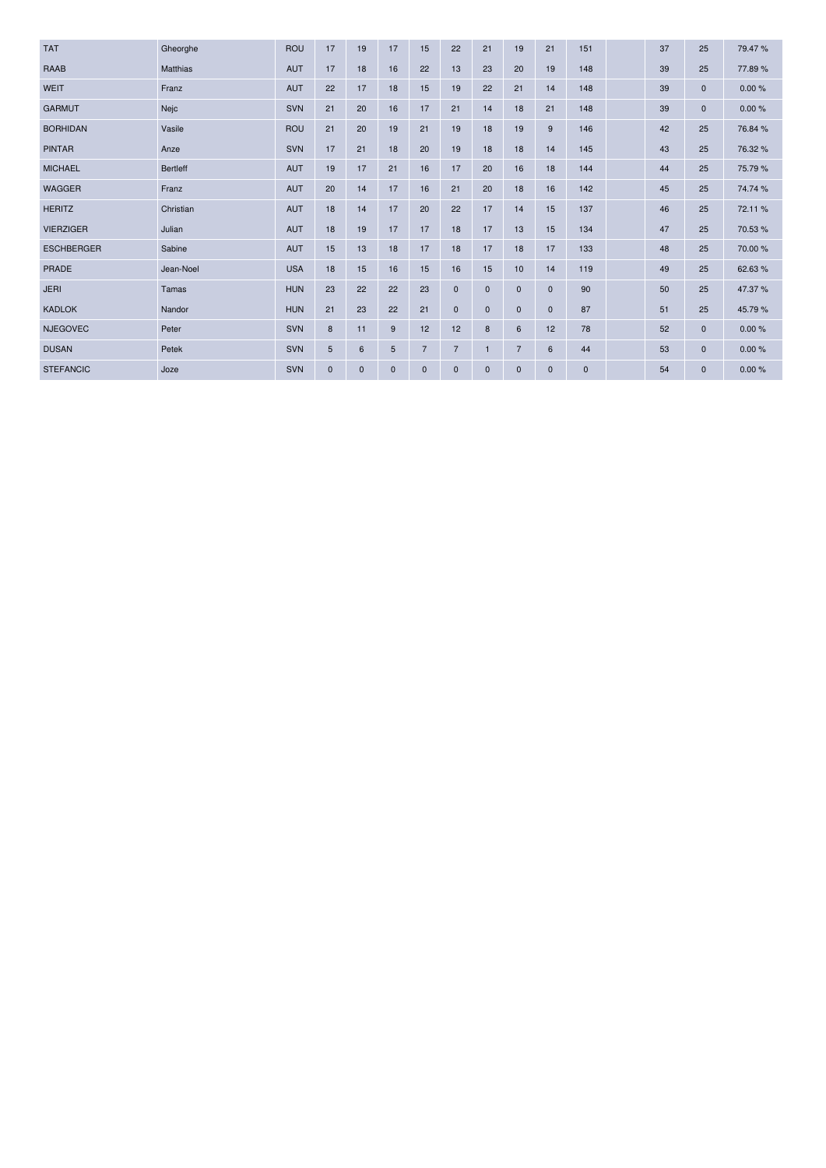| <b>TAT</b>        | Gheorghe        | <b>ROU</b> | 17           | 19           | 17          | 15             | 22             | 21           | 19             | 21           | 151          | 37 | 25           | 79.47%  |
|-------------------|-----------------|------------|--------------|--------------|-------------|----------------|----------------|--------------|----------------|--------------|--------------|----|--------------|---------|
| <b>RAAB</b>       | <b>Matthias</b> | <b>AUT</b> | 17           | 18           | 16          | 22             | 13             | 23           | 20             | 19           | 148          | 39 | 25           | 77.89%  |
| <b>WEIT</b>       | Franz           | <b>AUT</b> | 22           | 17           | 18          | 15             | 19             | 22           | 21             | 14           | 148          | 39 | $\mathbf{0}$ | 0.00%   |
| <b>GARMUT</b>     | Nejc            | <b>SVN</b> | 21           | 20           | 16          | 17             | 21             | 14           | 18             | 21           | 148          | 39 | $\mathbf{0}$ | 0.00%   |
| <b>BORHIDAN</b>   | Vasile          | <b>ROU</b> | 21           | 20           | 19          | 21             | 19             | 18           | 19             | 9            | 146          | 42 | 25           | 76.84 % |
| <b>PINTAR</b>     | Anze            | <b>SVN</b> | 17           | 21           | 18          | 20             | 19             | 18           | 18             | 14           | 145          | 43 | 25           | 76.32 % |
| <b>MICHAEL</b>    | <b>Bertleff</b> | AUT        | 19           | 17           | 21          | 16             | 17             | 20           | 16             | 18           | 144          | 44 | 25           | 75.79%  |
| <b>WAGGER</b>     | Franz           | <b>AUT</b> | 20           | 14           | 17          | 16             | 21             | 20           | 18             | 16           | 142          | 45 | 25           | 74.74 % |
| <b>HERITZ</b>     | Christian       | <b>AUT</b> | 18           | 14           | 17          | 20             | 22             | 17           | 14             | 15           | 137          | 46 | 25           | 72.11%  |
| <b>VIERZIGER</b>  | Julian          | AUT        | 18           | 19           | 17          | 17             | 18             | 17           | 13             | 15           | 134          | 47 | 25           | 70.53%  |
| <b>ESCHBERGER</b> | Sabine          | <b>AUT</b> | 15           | 13           | 18          | 17             | 18             | 17           | 18             | 17           | 133          | 48 | 25           | 70.00 % |
| <b>PRADE</b>      | Jean-Noel       | <b>USA</b> | 18           | 15           | 16          | 15             | 16             | 15           | 10             | 14           | 119          | 49 | 25           | 62.63%  |
| <b>JERI</b>       | Tamas           | <b>HUN</b> | 23           | 22           | 22          | 23             | $\mathbf{0}$   | $\mathbf{0}$ | $\mathbf 0$    | $\mathbf{0}$ | 90           | 50 | 25           | 47.37 % |
| <b>KADLOK</b>     | Nandor          | <b>HUN</b> | 21           | 23           | 22          | 21             | $\mathbf{0}$   | $\mathbf{0}$ | $\mathbf 0$    | $\mathbf{0}$ | 87           | 51 | 25           | 45.79%  |
| <b>NJEGOVEC</b>   | Peter           | <b>SVN</b> | 8            | 11           | 9           | 12             | 12             | 8            | 6              | 12           | 78           | 52 | $\mathbf{0}$ | 0.00%   |
| <b>DUSAN</b>      | Petek           | SVN        | 5            | 6            | 5           | $\overline{7}$ | $\overline{7}$ | 1            | $\overline{7}$ | 6            | 44           | 53 | $\mathbf 0$  | 0.00%   |
| <b>STEFANCIC</b>  | Joze            | <b>SVN</b> | $\mathbf{0}$ | $\mathbf{0}$ | $\mathbf 0$ | $\mathbf 0$    | $\Omega$       | $\mathbf{0}$ | $\mathbf 0$    | $\mathbf{0}$ | $\mathbf{0}$ | 54 | $\mathbf{0}$ | 0.00%   |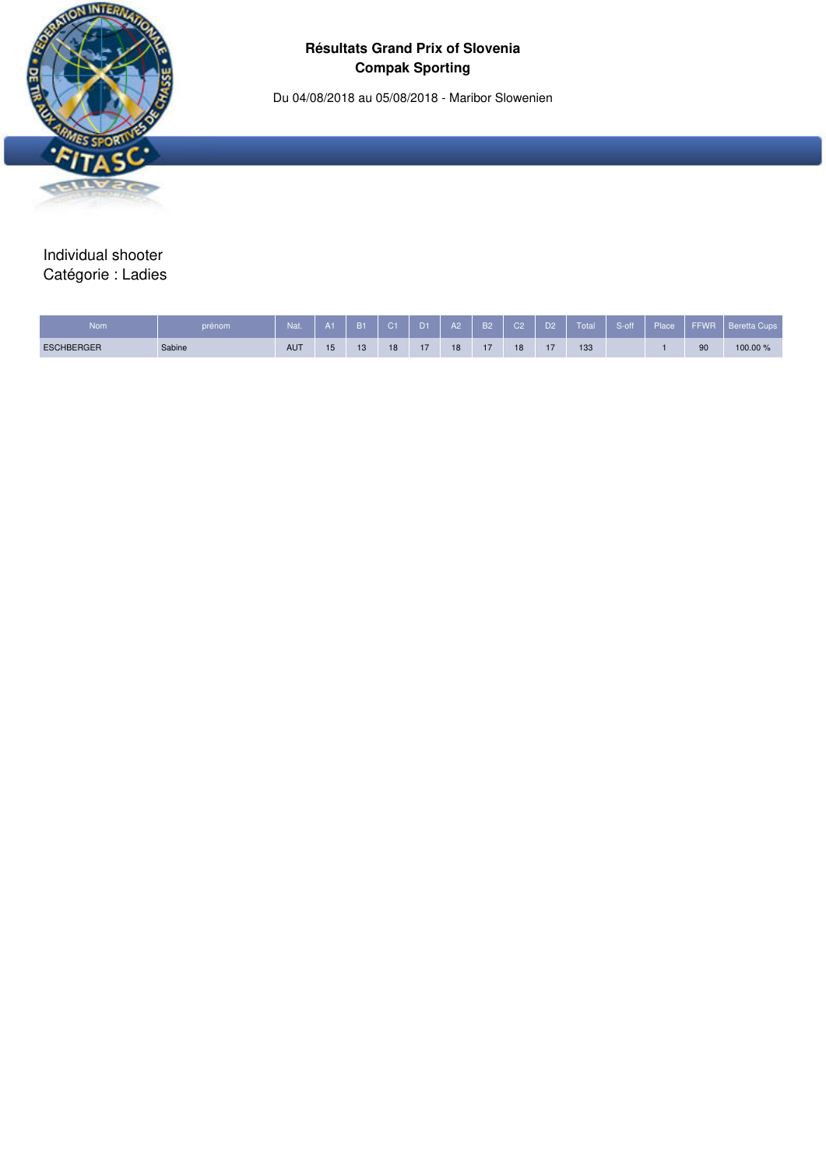Du 04/08/2018 au 05/08/2018 - Maribor Slowenien



Individual shooter Catégorie : Ladies

| <b>Nom</b>        | prénom | Nat.       |    | B <sub>1</sub> | $\sim$ $\sim$ $\sim$ | 11 | A2 | B <sub>2</sub> | C2 | D <sub>2</sub> | Total | S-off | Place <sup>1</sup> | <b>FFWF</b> | Cups<br>Beretta |
|-------------------|--------|------------|----|----------------|----------------------|----|----|----------------|----|----------------|-------|-------|--------------------|-------------|-----------------|
| <b>ESCHBERGER</b> | Sabine | <b>AUT</b> | 15 | 13             | 18                   |    | 18 |                | 18 | - -            | 133   |       |                    | 90          | 100.00 %        |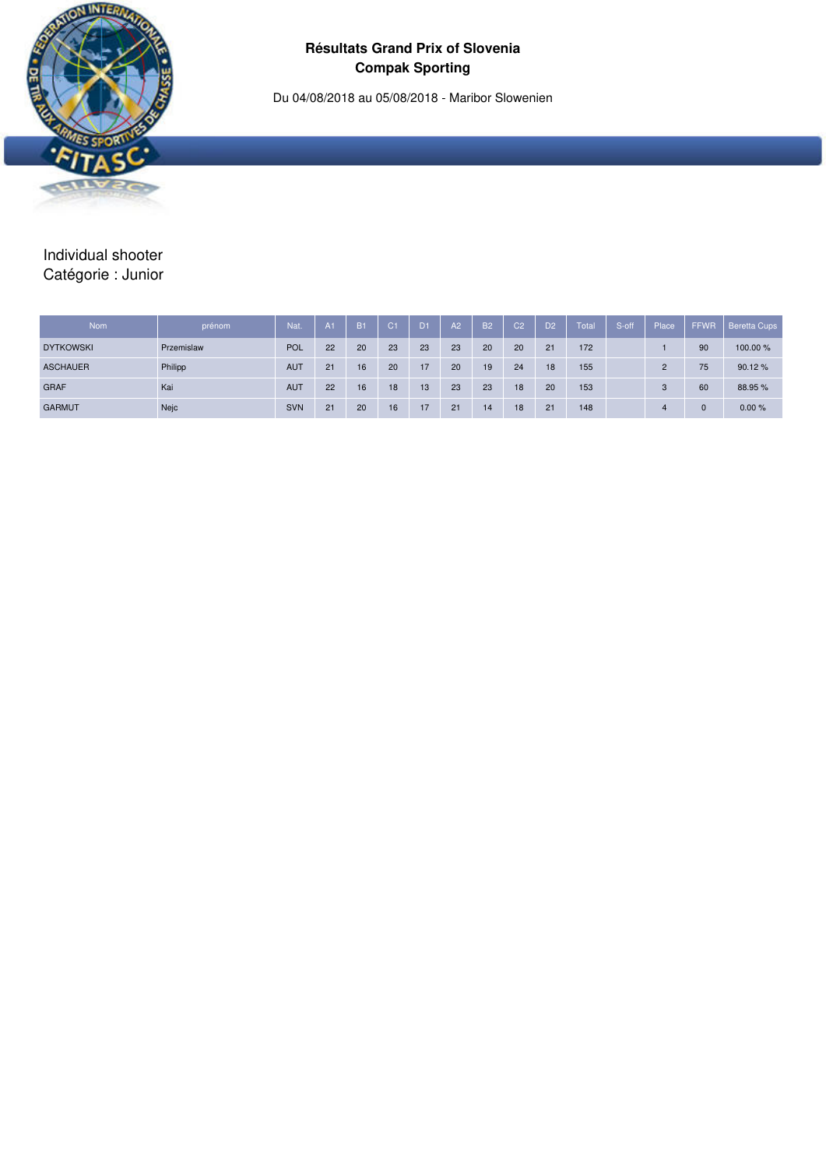Du 04/08/2018 au 05/08/2018 - Maribor Slowenien



# Individual shooter Catégorie : Junior

| Nom              | prénom     | Nat.       | A1 | <b>B1</b> | C <sub>1</sub> | D <sub>1</sub> | A2 | <b>B2</b> | C <sub>2</sub> | D <sub>2</sub> | Total | S-off | Place    | <b>FFWR</b> | <b>Beretta Cups</b> |
|------------------|------------|------------|----|-----------|----------------|----------------|----|-----------|----------------|----------------|-------|-------|----------|-------------|---------------------|
| <b>DYTKOWSKI</b> | Przemislaw | POL        | 22 | 20        | 23             | 23             | 23 | 20        | 20             | 21             | 172   |       |          | 90          | 100.00 %            |
| <b>ASCHAUER</b>  | Philipp    | <b>AUT</b> | 21 | 16        | 20             | 17             | 20 | 19        | 24             | 18             | 155   |       | $\Omega$ | 75          | 90.12%              |
| <b>GRAF</b>      | Kai        | <b>AUT</b> | 22 | 16        | 18             | 13             | 23 | 23        | 18             | 20             | 153   |       |          | 60          | 88.95 %             |
| <b>GARMUT</b>    | Nejc       | <b>SVN</b> | 21 | 20        | 16             | 17             | 21 | 14        | 18             | 21             | 148   |       |          |             | 0.00%               |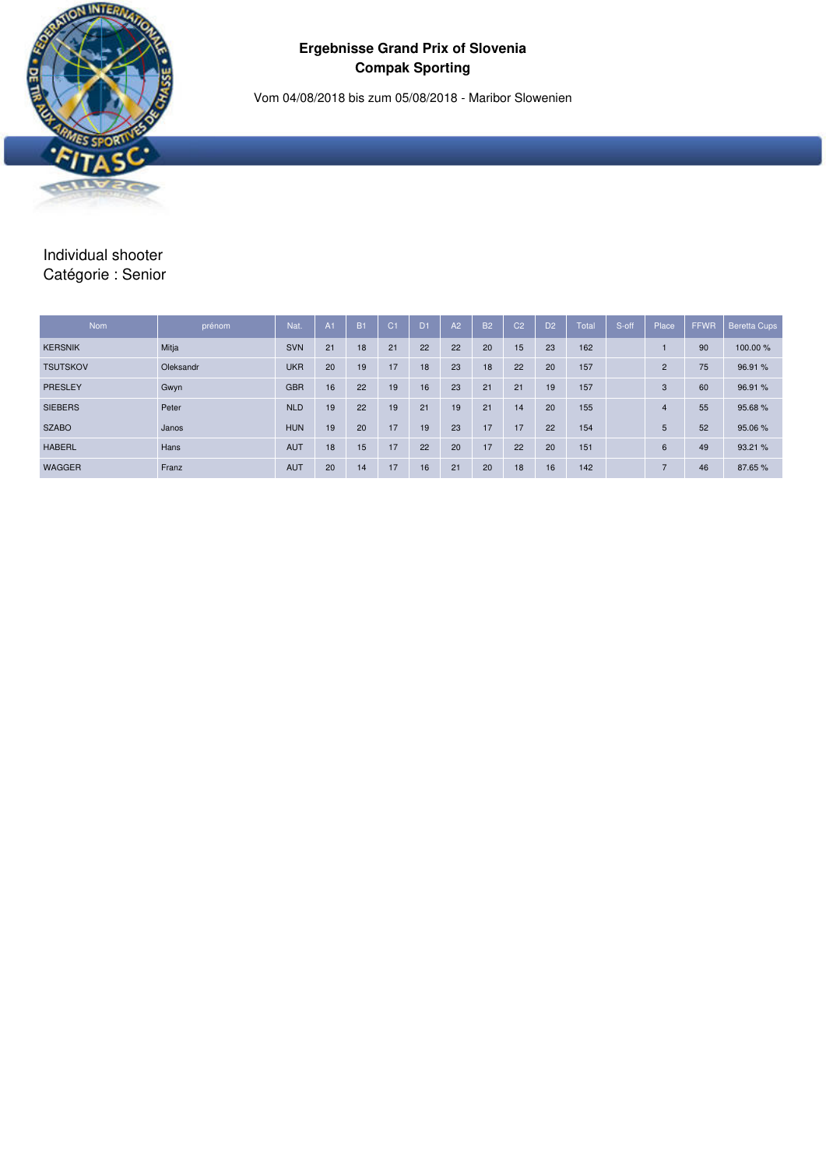### **Ergebnisse Grand Prix of Slovenia Compak Sporting**

Vom 04/08/2018 bis zum 05/08/2018 - Maribor Slowenien



# Individual shooter Catégorie : Senior

| <b>Nom</b>      | prénom    | Nat.       | A1 | <b>B1</b> | C <sub>1</sub> | D <sub>1</sub> | A2 | <b>B2</b> | C <sub>2</sub> | D <sub>2</sub> | Total | S-off | Place          | <b>FFWR</b> | <b>Beretta Cups</b> |
|-----------------|-----------|------------|----|-----------|----------------|----------------|----|-----------|----------------|----------------|-------|-------|----------------|-------------|---------------------|
| <b>KERSNIK</b>  | Mitja     | <b>SVN</b> | 21 | 18        | 21             | 22             | 22 | 20        | 15             | 23             | 162   |       |                | 90          | 100.00 %            |
| <b>TSUTSKOV</b> | Oleksandr | <b>UKR</b> | 20 | 19        | 17             | 18             | 23 | 18        | 22             | 20             | 157   |       | $\overline{2}$ | 75          | 96.91 %             |
| PRESLEY         | Gwyn      | <b>GBR</b> | 16 | 22        | 19             | 16             | 23 | 21        | 21             | 19             | 157   |       | 3              | 60          | 96.91%              |
| <b>SIEBERS</b>  | Peter     | <b>NLD</b> | 19 | 22        | 19             | 21             | 19 | 21        | 14             | 20             | 155   |       | $\overline{4}$ | 55          | 95.68%              |
| <b>SZABO</b>    | Janos     | <b>HUN</b> | 19 | 20        | 17             | 19             | 23 | 17        | 17             | 22             | 154   |       | 5              | 52          | 95.06%              |
| <b>HABERL</b>   | Hans      | <b>AUT</b> | 18 | 15        | 17             | 22             | 20 | 17        | 22             | 20             | 151   |       | 6              | 49          | 93.21 %             |
| WAGGER          | Franz     | <b>AUT</b> | 20 | 14        | 17             | 16             | 21 | 20        | 18             | 16             | 142   |       | $\overline{ }$ | 46          | 87.65%              |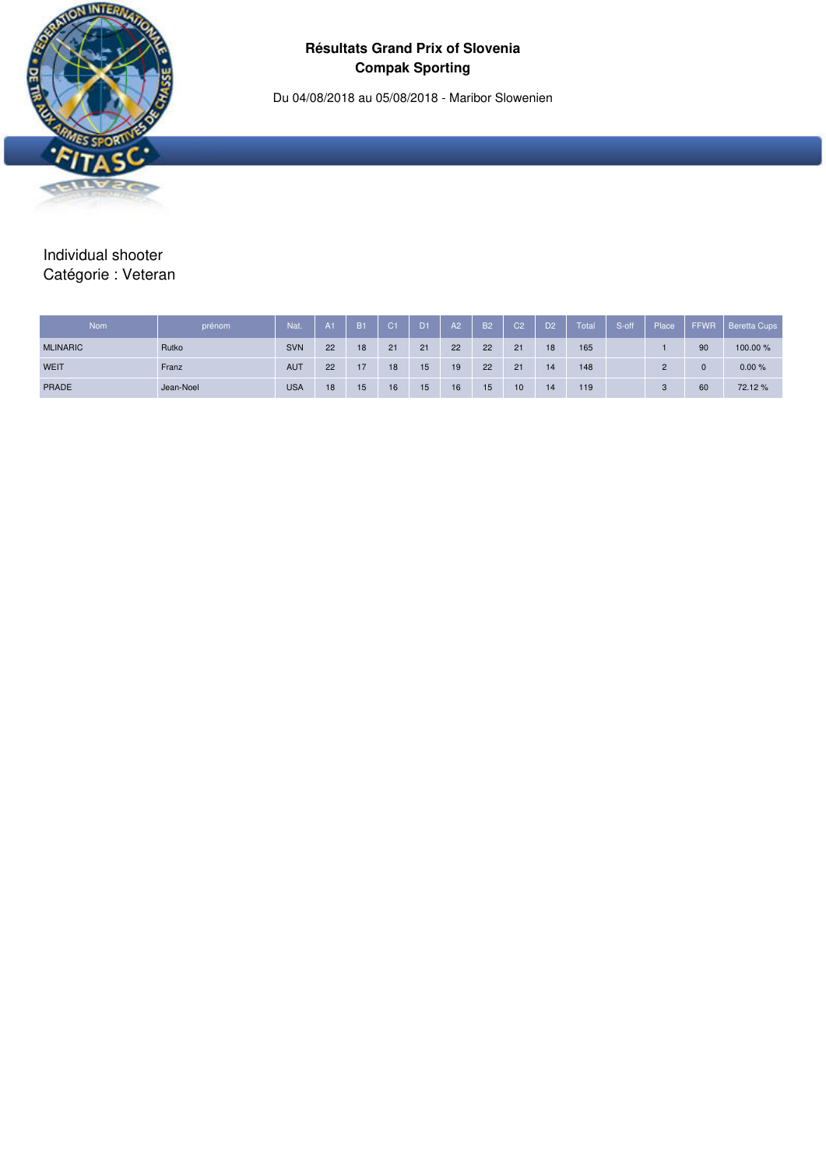Du 04/08/2018 au 05/08/2018 - Maribor Slowenien



# Individual shooter Catégorie : Veteran

| <b>Nom</b>      | prénom    | Nat.       | A <sub>1</sub> | <b>B1</b> | LC1 | D <sub>1</sub> | A2 | <b>B2</b> | C <sub>2</sub> | D <sub>2</sub> | Total | S-off | Place | <b>FFWR</b> | <b>Beretta Cups</b> |
|-----------------|-----------|------------|----------------|-----------|-----|----------------|----|-----------|----------------|----------------|-------|-------|-------|-------------|---------------------|
| <b>MLINARIC</b> | Rutko     | <b>SVN</b> | 22             | 18        | 21  | 21             | 22 | 22        | 21             | 18             | 165   |       |       | 90          | 100.00%             |
| WEIT            | Franz     | <b>AUT</b> | 22             | 17        | 18  | 15             | 19 | 22        | 21             | 14             | 148   |       | C     |             | 0.00%               |
| PRADE           | Jean-Noel | <b>USA</b> | 18             | 15        | 16  | 15             | 16 | 15        | 10             | 14             | 119   |       | C     | 60          | 72.12%              |